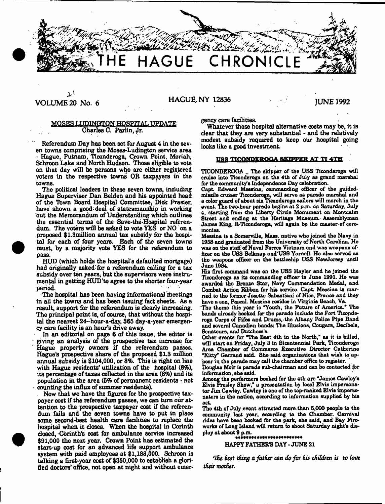, and  $\mathbf{r}$ **HAGUE CHRONIC** 

# ارد VOLUME 20 No. 6 HAGUE, NY 12836 JUNE 1992

### MQSES LUDINGTON HOSPITAL UPDATE Charles C. Parlin, Jr.

Referendum Day has been set for August 4 in the seven towns comprising the Moses-Ludington service area - Hague, Putnam, Ticonderoga, Crown Point, Moriah, Schroon Lake and North Hudson. 'Those eligible to vote on that day will be persons who are either registered voters in the respective towns OR taxpayers in the towns.

The political leaders in these seven towns, including Hague Supervisor Dan Belden and his appointed head of the Town Board Hospital Committee, Dick Frasier, have shown a good' deal of statesmanship in working out the Memorandum of Understanding which outlines the essential terms of the Save-the-Hospital referendum. The voters will be asked to vote YES or NO on a proposed \$1.3million annual tax subsidy for the hospital for each of four years. Each of the seven towns must, by a majority vote YES for the referendum to pass.

HUD (which holds the hospital's defaulted mortgage) had originally asked for a referendum calling for a tax subsidy over ten years, but the supervisors were instrumental in getting HUD'to agree to the shorter four-year period. And the second state of the second state of the second state of the second state of the second state of the second state of the second state of the second state of the second state of the second state of the second

The hospital has been having informational meetings in all the towns and has been issuing fact sheets. As a result, support for the referendum is clearly increasing. The principal point is, of course, that without the hospital the nearest 24-hour-a-day, 366 day-a-year emergency care facility is an hour's drive away.

In an editorial on page 6 of this issue, the editor is giving an analysis of the prospective tax increase for Hague property owners if the referendum passes. Hague's prospective share of the proposed \$1.3 million annual subsidy is \$104,000, or 8%. This is right on line with Hague residents' utilization of the hospital (8%), its percentage of taxes collected in the area (8%) and its population in the area (5% of permanent residents  $\cdot$  not counting the influx of summer residents).

. Now that we have the figures for the prospective taxpayer cost if the referendum passes, we can turn our attention to the prospective taxpayer cost if the referendum fails and the seven towns have to put in place some second-best health care facilities to replace the hospital when it closes. When the hospital in Corinth dosed, Corinth's cost for ambulance service increased \$91,000 the next year. Crown Point haa estimated the start-up cost for an advanced life support ambulance system with paid employees at \$1,188,000. Schroon is talking a first-year cost of \$350,000 to establish a glorified doctors' office, not open at night and without emergency care facilities.

Whatever these hospital alternative costs may be, it is dear that they are very substantial - and the relatively modest subsidy required to keep our hospital going looks like a good investment.

# USS TICONDEROGA SKIPPER AT TI 4TH

TICONDEROGA \_ The skipper of the USS Ticonderoga will cruise into Ticonderoga on the 4th of July as grand marshal for the community's Independence Day celebration.

Capt Edward Messina, commanding officer of the guidedmissile cruiser Ticonderoga, will serve as parade marshal and a color guard of about six Ticonderoga sailors will march in the event The two-hour parade begins at 2 p.m. on Saturday, July 4, starting from the Liberty Circle Monument on Montcalm Street and ending at the Heritage Museum: Assemblyman James King, R-Ticondoroga, will again bo the master-of ceremonies.

Messina is a Somerville, Mass. native who joined the Navy in 1958 and graduated from the University of North Carolina. He was on the staff of Naval Forces Vietnam and was weapons officer on the USS Belknap and'USS Yamell. He also served as the weapons officer on the battleship USS NewJereey until June 1984.

Hia first command was on the USS Hayler and he joined the Ticonderoga as its commanding officer in June 1991. He was awarded the Bronze Star, Navy Commendation Medal, and Combat Action Ribbon for his service. Capt Messina is married to the former Josette Sabastiani of Nice, France and they have a son, Pascal. Messina resides in Virginia Beach, Va.

The theme this year is "Youth, the Future of America.\* The bands already booked for the parado include the Fort Ticonderoga Corps of Fifes and Drums, the Albany Police Pipe Band and several Canadian bands: The Illusions, Cougars, Decibels, Senateurs, and Dutchess's.

Other events for The Best 4th in the North," as it is billed, will start on Friday, July 3 in Bicentennial Park, Ticonderoga Area Chamber of Commerce Executive Director Catherine "Kitty\* Garrand said. She said organizations that wish to appear in the parade may call the chamber office to register.

Douglas Moir is parade sub-chairman and can bo contacted for information, she said.

Among the performers booked for the 4th are "James Cawley's Elvis Prealey Show,\* a presentation by local Elvis impersonator Jim Cawley. Cawley is one of the top-ranked Elvis impersonators in the nation, according to information supplied by his act

The 4th of July event attracted more than 5,000 people to the community last year, according to the Chamber. Carnival rides have been booked for the park, she said, and Bay Fireworks of Long Island will return to shoot Saturday night's display at about 9 p.m.<br>\*\*\*\*\*\*\*\*\*\*\*\*\*\*\*\*\*\*\*\*\*\*\*\*\*\*\*

# HAPPY FATHER'S DAY - JUNE 21

*Clhc test thing a father can do for his children is to (ovt their mother.*

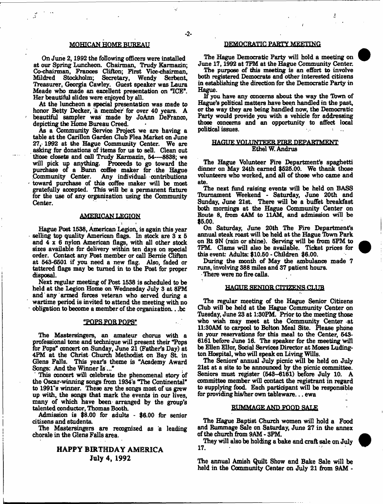# MQHICAN HOME BUREAU

On June 2,1992 the following officers were installed at our Spring Luncheon. Chairman, Trudy Karmazin; Co-chairman, Frances Clifton; First Vice-chairman, Mildred Stockholm; Secretary, Wendy Serbent, Treasurer, Georgia Cawley. Guest speaker was Laura Meade who made an excellent presentation on TCE\*. Her beautiful elides were enjoyed by all.

At the luncheon a special presentation was made to honor Betty Decker, a member for over 40 years. A beautiful sampler was made by JoAnn DeFranco, depicting the Home Bureau Creed.

As a Community Service Project we are having a table at the Carillon Garden Club Flea Market on June  $27, 1992$  at the Hague Community Center. We are asking for donations of items for us to sell. Clean out those closets and call Trudy Karmazin, 64— 8838; we will pick up anything. Proceeds to go toward the purchase of a Bunn coffee maker for the Hague<br>Community Center. Any individual contributions Any individual contributions toward purchase of this coffee maker will be most gratefully accepted. This will be a permanent fixture for the use of any organization using the Community Center.

#### AMEBICAN LEGION

Hague Post 1538, American Legion, is again this year selling top quality American flags. In stock are 3 x 6 and  $4 \times 6$  nylon American flags, with all other stock sizes available for delivery within ten days on special order. Contact any Post member or call Bernie Clifton at 543-6501 if you need a new flag. Also, faded or tattered flags may be turned in to the Post for proper disposal.

Next regular meeting of Post 1538 is scheduled to be held at the Legion Home on Wednesday July 3 at 8PM and any armed forces veteran who served during a wartime period is invited to attend the meeting with no obligation to become a member of the organization.. .be

#### "POPS FOR POPS"

The Mastersingers, an amateur chorus with a professional tone and technique will present their "Pops for Pops\* concert on Sunday, June 21 (Father's Day) at 4PM at the Christ Church Methodist on Bay St. in Glens Falls. This year's theme is "Academy Award Songs: And the Winner Is...'

This concert will celebrate the phenomenal story of the Oscar-winning songs from 1934's "The Continental\* to 1991"s winner. These are the songs most of us grew up with, the songs that mark the events in our lives, many of which have been arranged by the group's talented conductor, Thomas Booth.

Admission is \$8.00 for adults - \$6.00 for senior citizens and students.

The Mastersingers are recognized as a leading chorale in the Glens Falls area.

# HAPPY BIRTHDAY AMERICA July 4, 1992

#### DEMOCRATIC PARTY MEETING

The Hague Democratic Party will hold a meeting on June 17,1992 at TPM at the Hague Community Center.

The purpose of this meeting is an effort to involve both registered Democrats and other interested citizens in establishing the direction for the Democratic Party in Hague.

If you have any concerns about the way the Tbwn of Hague's political matters have been handled in the past, or the way they are being handled now, the Democratic Party would provide you with a vehicle for addressing those concerns and an opportunity to affect local political issues.

#### **HAGUE VOLUNTEER FIRE DEPARTMENT** Ethel W. Andrus

The Hague Volunteer Fire Department's spaghetti dinner on May 24th earned \$525.00. We thank those volunteers who worked, and all of those who came and ate.

The next fund raising events will be held on BASS Tburnament Weekend - Saturday, June 20th and Sunday, June 21st. There will be a buffet breakfast both mornings at the Hague Community Center on Route 8, from 4AM to 11AM, and admission will be \$5.00.

On Saturday, June 20th The Fire Department's annual steak roast will be held at the Hague Town Park on Rt 9N (rain or shine). Serving will be from 5PM to 7PM. Clams will also be available. Ticket prices for this event: Adults: \$10.60 - Children \$6.00.

During the month of May the ambulance made 7 runs, involving 388 miles and 37 patient hours. There were no fire calls.

# HAGUE SENIOR CITIZENS CLUB

The regular meeting of the Hague Senior Citizens Club will be held at the Hague Community Center on Tuesday, June 23 at 1:30PM. Prior to the meeting those who wish may meet at the Community Center at 11:30AM to carpool to Bolton Meal Site. Please phone in your reservations for this meal to the Center, 543- 6161 before June 16. The speaker for the meeting Will be Ellen Ellor, Social Services Director at Moses Ludington Hospital, who will speak on Living Wills.

The Seniors' annual July picnic will be held on July 21st at a site to be announced by the picnic committee. Seniors must register (543-6161) before July 10. A committee member will contact the registrant in regard to supplying food. Each participant will be responsible for providing his/her own tableware... ewa

#### RUMMAGE AND FOOD SALE

The Hague Baptist Church women will hold a Food and Rummage Sale on Saturday, June 27 in the annex of the church from 9AM - 3PM.

They will also be holding a bake and craft sale on July 17.

The annual Amish Quilt Show and Bake Sale will be held in the Community Center on July 21 from 9AM -



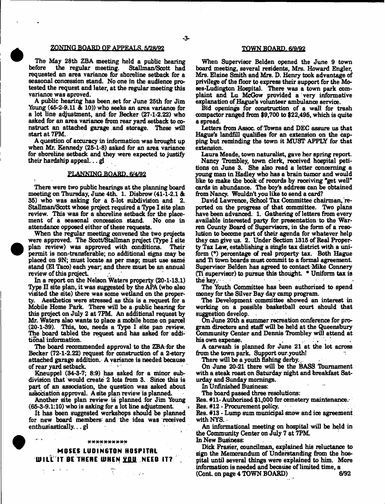#### ZONING BOARD OF APPEALS. 5/28/92

The May 28th ZBA meeting held a public hearing before the regular meeting. Stallman/Scott had Stallman/Scott had requested an area variance for shoreline setback for a seasonal concession stand. No one in the audience protested the request and later, at the regular meeting this variance was aproved.

A public hearing has been set for June 25th for Jim Young (45-2-9.11  $\&$  10)) who seeks an area variance for a lot line adjustment, and for Becker (27-1-2.22) who asked for an area variance from rear yard setback to construct an attached garage and storage. These will start at 7PM..

A question of accuracy in information was brought up when Mr. Kennedy (25-1-8) asked for an area variance for shoreline setback and they were expected to justify their hardship appeal... $g$ 

#### PLANNING BOARD. 6/4/92

There were two public hearings at the planning board meeting on Thursday, June 4th. 1. Disbrow (41-1-2.1 & 35) who was asking for a 5-lot subdivision and 2. Stallman/Scott whose project required a Type I site plan review. This was for a shoreline setback for the placement of a seasonal concession stand. No one in attendance opposed either of these requests.

When the regular meeting convened the two projects were approved. The Scott/Stallman project (Type I site plan review) was approved with conditions. Their permit is non-transferable; no additional signs may be placed on 9N; must locate as per map; must use same stand (El Taco) each year, and there must be an annual review of this project.

In a report on the Nelson Waters property (20-1-13.1) Type II site plan, it was suggested by the APA (who also visited the site) there was some wetland on the proper-Aesthetics were stressed as this is a request for a Mobile Home Park. There will be a public hearing for this prqject on July 2 at 7PM. An additional request *by* Mr. Waters also wants to place a mobile home on parcel (20-1-39). This, too, needs a Type I site pan review. The board tabled the request and has asked for additional information.

The board recommended approval to the ZBA for the Becker (72-1-2.22) request for construction of a 2-story attached garage addition. A variance is needed because of rear yard setback.

Kneuppel (34-3-7; 8:9) has asked for a minor subdivision that would create 2 lots from 3. Since this is part of an association, the question was asked about association approval. A site plan review is planned.

Another site plan review is planned for Jim Young  $(65-3-9.1:10)$  who is asking for a lot line adjustment.

It has been suggested workshops should be planned for new board members' and the idea was received enthusiastically... gl

#### \*\*\*\*\*\*\*\*\*\*

# MOSES LUD1N6T0N HOSPITAL WILL'IT BE THERE WHEN YOU NEED IT?

#### TOWN BOARD. 6/9/92

When Supervisor Belden opened the June 9 town board meeting, several residents, Mrs. Howard Engler, Mrs. Elaine Smith and Mrs. D. Henry took advantage of privilege of the floor to express their support for the Moses-Ludington Hospital. There was a town park complaint and Lu McGow provided a very informative explanation of Hague's volunteer ambulance service.

Bid openings for construction of a wall for trash compactor ranged from \$9,700 to \$22,495, which is quite a spread.

Letters from Assoc, of Towns and DEC assure us that Hague's landfill qualifies for an extension on the capping but reminding the town it MUST APPLY for that extension.

Laura Meade, town naturalist, gave her spring report.

Nancy Trombley, town clerk, received hospital petitions on June 3. She also read a letter concerning a young man in Hadley who has a brain tumor and would like to make the book of records by receiving "get well" cards in abundance. The boy's address can be obtained from Nancy. Wouldn't you like to send a card?

David Lawrence, School Tax Committee chairman, reported on the progress of that committee. Two plans have been advanced. 1. Gathering of letters from every available interested party for presentation to the Warren County Board of Supervisors, in the form of a resolution to become part of their agenda for whatever help they can give us. 2. Under Section 1315 of Real Property Tax Law, establishing a single tax district with a uniform (\*) percentage of real property tax. Both Hague and Ti tbwn boards must commit to a formal agreement. Supervisor Belden has agreed to contact Mike Connery (Ti supervisor) to pursue this thought. \* Uniform tax is the key.

The Youth Committee has been authorized to spend money for the Silver Bay day camp program.

The Development committee showed an interest in working on a possible basketball court should that suggestion develop.  $\sim 10^7$ 

On June 20th a summer recreation conference for program directors and staff will be held at the Queensbury Community Center and Dennis Trombley will attend at his own expense.

A carwash is planned for June 21 at the lot across from the town park. Support our youth!

There will be a youth fishing derby.

On June 20-21 there will be the BASS Tburnament with a steak roast on Saturday night and breakfast Saturday and Sunday mornings.

In Unfinished Business:

The board passed three resolutions:

Res. #11- Authorized \$1,000 for cemetery maintenance.<br>Res. #12 - Prominement policy

Res. #12 - Procurement policy.

Res. #13 - Lump sum municipal snow and ice agreement with NYS.  $\cdot$ 

An informational meeting on hospital will be held in the Community Center on July 7 at 7FM.

In New Business:

Dick Frasier, councilman, explained his reluctance to sign the Memorandum of Understanding from the hospital until several things were explained to him. More information is needed and because of limited time, a (Cont. on page 4 TOWN BOARD)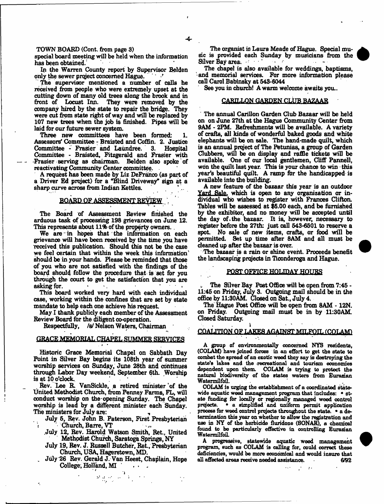#### TOWN BOARD (Cont. from page 3)

special board meeting will be held when the information has been obtained.

In the Warren County report by Supervisor Belden only the sewer project concerned Hague.

The supervisor mentioned a number of calls he received from people who were extremely upset at the cutting down of many old trees along the brook and in front of Locust Inn. They were removed by the They were removed by the company hired by the state to repair the bridge. They were cut from state right of way and will be replaced by 107 new trees when the job is finished. Pipes will be laid for our future sewer system.

Three new committees have been formed: 1. Assessors' Committee - Braisted and Coffin. 2. Justice Committee - Frasier and Laundree. Committee - Braisted, Fitzgerald and Frasier with •Frasier serving as chairman. Belden also spoke of reactivating Community Center committee.

A request has been made by Liz DeFranco (as part of a Driver Ed project) for a "Blind Driveway" sign at a sharp curve across from Indian Kettles.

## BOARD OF ASSESSMENT REVIEW

The Board of Assessment Review finished the arduous task of processing 198 grievances on June 12. This represents about 11% of the property owners.

We are in hopes that the information on each grievance will have been received by the time you have received this publication. Should this not be the case we feel certain that within the week this information' should be in your hands. Please be reminded that those of you who are not satisfied with the findings of the board should follow the procedure that is set for you through the court to get the satisfaction that you are  $\alpha$  asking for.  $\qquad \qquad \blacksquare$ 

This board worked very hard with each individual case, working within the confines that are set by state mandate to help each one achieve his request

May I thank publicly each member of the Assessment Review Board for the diligent co-operation.

Respectfully, /s/ Nelson Waters, Chairman

, *r* \*

# GRACE MEMORIAL CHAPEL SUMMER SERVICES

Historic Grace Memorial Chapel on Sabbath Day Point in Silver Bay begina its 108th year of summer worship services on Sunday, June 28th and continues through Labor Day weekend, September 6th. Worship is at 10 o'clock.

. Rev. Lee R VanSickle, a retired minister 'of the United Methodist Church, from Penney Farms, FL, will conduct worship on the opening Sunday. The Chapel worship is lead by a different minister each Sunday. The ministers for July are:

July 6, Rev. John B. Paterson, First Presbyterian [ Church, Barre, VT

- .July 12, Rev. Harold Watson Smith, Ret., United Methodist Church, Saratoga Springs, NY
- July 19, Rev. J. Russell Butcher, Ret., Presbyterian Church, USA, Hagerstown, MD.
- . July '26 Rev. Gerald J. Van Heest, Chaplain, Hope College; Holland, MI **1899**

The organist is Laura Meade of Hague. Special music is provided each Sunday by musicians from the Silver Bay area Silver Bay area; • • • • •

The chapel is also available for weddings, baptisms, and memorial services. For more information please call Carol Babinsky at 543-6044

See you in church! A warm welcome awaits you..

#### CARILLON GARDEN CLUB BAZAAR

The annual Carillon Garden Club Bazaar will be held on on June 27th at the Hague Community Center from 9AM - 2PM. Refreshments will be available. A variety of crafts, all kinds of wonderful baked goods and white elephants will be on sale. The hand-made quilt, which is an annual prqject of The Petunias, a group of Garden Clubbers, will be on display and raffle tickets will be available. One of our local gentlemen, Cliff Pannell, won the quilt last year. This is your chance to win this year's beautiful quilt. A ramp for the handicapped is available into the building.

A new feature of the bazaar this year is an outdoor Yard Sale, which is open to any organization or individual who wishes to register with Frances Clifton. Tbbles will be assessed at \$6.00 each, and be furnished by the exhibitor, and no money will be accepted until the day of .the bazaar. It is, however, necessary to register before the 27th: just call 543-6501 to reserve a spot. No sale of new items, crafts, or food will be permitted. Set up time after 8AM and all must be cleaned up after the bazaar is over.

The bazaar is a rain or shine event. Proceeds benefit the landscaping prqjecta in Ticonderoga and Hague.

#### POST OFFICE HOLIDAY HOURS

The Silver Bay Post Office will be open from 7:45 -11:45 on Friday, July 3. Outgoing mail should be in the office by 11:30AM. Closed on Sat, July 4.

The Hague Post Office will be open from 8AM - 12N. on Friday. Outgoing mail must be in by 11:30AM. Closed Saturday.

#### . In the same set of  $\mathbf{A}$  and  $\mathbf{A}$  are set of  $\mathbf{A}$  and  $\mathbf{A}$ COALITION OF LAKES AGAINST MILFOIL (COLAND

A group of environmentally concerned NYS residents, (COLAM) have joined forces in an effort to get the state to combat the spread of an exotic weed they say is destroying the state's lakes and the recreational and tourism economies dependent upon them. COLAM is frying to protect the natural biodiversity of the states waters from Eurasian WatermilfaiL

COLAM 1b urging the establishment of a coordinated statewide aquatic weed management program that includes: • state funding for locally or regionally managed weed control projects. • a simplified and uniform permit application <sup>o</sup> a simplified and uniform permit application process for weed control projects throughout the state. • a determination this year on whether to allow the registration and use in NY of the herbicide fluridone (SONAR), a chemical found to be particularly effective in controlling Eurasian WatermilfoiL

A progressive, statewide aquatic weed management program, such as COLAM is calling for, could correct these deficiencies, would be more economical and would insure that all affected areas receive needed assistance. 6/92

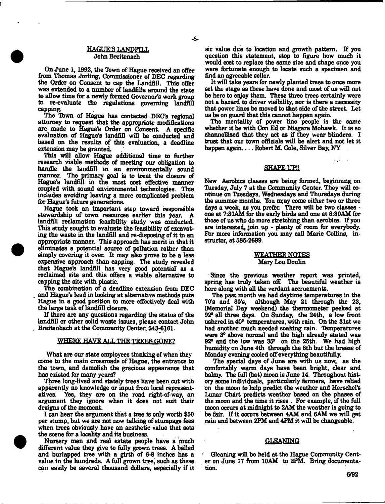### HAGUE'S LANDFILL John Breitenach

On June 1, 1992, the Town of Hague received an offer from Thomas Jorling, Commissioner of DEC regarding the Order on Consent to cap the Landfill. This offer was extended to a number of landfills around the state to allow time for a newly formed Governor's work group to re-evaluate the regulations governing landfill capping.

The Town of Hague has contacted DEC's regional attorney to request that the appropriate modifications are made to Hague's Order on Consent A specific evaluation of Hague's landfill will be conducted and based on the results of this evaluation, a deadline extension may be granted.

This will allow Hague additional time to further research viable methods of meeting our obligation to handle the landfill in an environmentally sound manner. The primary goal is to treat the closure of Hague's landfill in the most cost effective manner coupled with sound environmental technologies. This includes avoiding leaving a more complicated problem for Hague's future generations.

Hague took an important step toward responsible stewardship of town resources earlier this year. A landfill reclamation feasibility study was conducted. This study sought to evaluate the feasibility of excavating the waste in the landfill and re-disposing of it in an appropriate manner. This approach has merit in that it eliminates a potential source of pollution rather than simply covering it over. It may also prove to be a less expensive approach than capping. The study revealed that Hague's landfill has very good potential' as a reclaimed site and this offers a viable alternative to capping the site with plastic.

The combination of a deadline extension from DEC and Hague's lead in looking at alternative methods puts Hague in a good position to more effectively deal with the large task of landfill closure.

If there are any questions regarding the status of the landfill or other solid waste issues, please contact John . Breitenbach at the Community Center, 543-6161.

#### WHERE HAVE ALL THE TREES GONE?

What are our state employees thinking of when they come to the main crossroads of Hague, the entrance to the town, and demolish the gracious appearance that has existed for many years?

Three long-lived and stately trees have been cut with apparently no knowledge or input from local representatives. Yes, they are on the road right-of-way, an argument they ignore when it does not suit their designs of the moment.

I can hear the argument that a tree is only worth \$50 per stump, but we are not now talking of stumpage fees when trees obviously have an aesthetic value that sets the scene for a locality and its business.

Nursery men and real estate people have a 'much different value they give to fully grown trees. A balled and burlapped tree with a girth of 6-8 inches has a value in the hundreds. A full grown tree, such as these can easily be several thousand dollars, especially if it

sic value due to location and growth pattern. If you question this statement, stop to figure how much it would cost to replace the same size and shape once you were fortunate enough to locate such a specimen and find an agreeable seller.

It will take years for newly planted trees to once more set the stage as these have done and most of us will not be here to enjoy them. These three trees certainly were not a hazard to driver visibility, nor is there a necessity that power lines be moved to that side of the street. Let us be on guard that this cannot happen again.

The mentality of power line people is the same whether it be with Con Ed or Niagara Mohawk. It is so channefiized that they act as if they wear blinders. I trust that our town officials will be alert and not let it happen again.... Robert M. Cole, Silver Bay, NY

#### SHAPE UP!!

 $\frac{1}{2}$  ,  $\frac{1}{2}$  ,  $\frac{1}{2}$  ,  $\frac{1}{2}$  ,  $\frac{1}{2}$ 

New Aerobics classes are being formed, beginning, on Tuesday, July 7 at the Community Center. They will continue on Tuesdays, Wednesdays and Thursdays during the summer months. You m;ay come either two or three days a week, as you prefer. There will be two classes one at 7:30AM for the early birds and one at 6:30AM for those of us who do more stretching than aerobics. If you are interested, join up - plenty of room for everybody. For more information you may call Marie Collins, instructor, at 585-2699.

#### WEATHER NOTES Mary Lou Doulin

Since the previous weather report was printed, spring has truly taken off. The beautiful weather is here dong with all the verdant accruements.

The past month we had daytime temperatures in the<br>70's and 80's, although May 21 through the 23, although May 21 through the 23, (Memorial Day weekend) the thermometer peeked at 92° all three days. On Sunday, the 24th, a low front ushered in 409 temperatures, with rain. On the 31st we had another much needed soaking rain. Temperatures were 3° above normal and the high already stated was 92s and the low was 35° on the 25th. We had high humidity on June 4th through the 8th but the breeze of Monday evening cooled off everything beautifully.

The special days of June are with us now, as the comfortably warm days have been bright, dear and balmy. The full (hot) moon is June 14, Throughout history some individuals, particularly farmers, have relied on the moon to help predict the weather and Herschel's Lunar Chart predicts weather based on the phases of the moon and the time it rises . For example, if the full moon occurs at midnight to 2AM the weather is going to be fair. If it occurs between 4AM and 6AM we will get rain and between 2FM and 4PM it will be changeable.

#### GLEANING

' Gleaning will be held at the Hague Community Center on June 17 from 10AM to 2FM. Bring documentation.

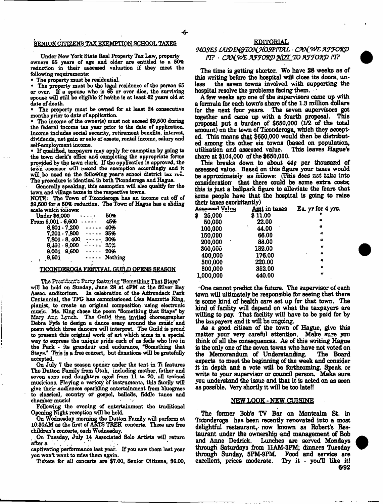#### SENIOR CITIZENS TAX EXEMPTION SCHOOL TAXES

Under New York State Real Property Tax Law, property owners 65 years of age and older are entitled to a 50% reduction in their assessed valuation if they meet the following requirements:

The property must be residential.

\* The property must be the legal residence of the person 65 or over. If a spouse who is 65 or over dies, the surviving spouse will still be eligible if he/she is at least 62 years old at date of death.

The property must be owned for at least 24 consecutive months prior to date of application.

The income of the owner(s) must not exceed \$9,500 during the federal income tax year prior to the date of application. Income includes social security, retirement benefits, interest, dividends, net gain or sale of assets, rental income, salary and self-employment income.

\* If qualified, taxpayers may apply for exemption by going to the town clerk's office and completing the appropriate forms provided by the town clerk. If the application is approved, the town assessor will record the exemption accordingly and it will be used on the following year's school district tax roll. The procedure is identical in both Ticonderoga and Hague.

Generally speaking, this exemption will also qualify for the town and village taxes in the respective townB.

NOTE: The Town of Ticonderoga has an income cut off of \$9,600 for a 60% reduction. The Town of Hague has a sliding scale which follows:

| Under \$6,000      | 50%     |
|--------------------|---------|
| From 6,001 - 6,600 | 45%     |
| 6.601 - 7.200      | 40%     |
| 7.201 - 7.800      | 35%     |
| 7.801 - 8,400      | 30%     |
| 8,401 - 9,000      | 25%     |
| $9.001 - 9,600$    | 20%     |
| 9,601              | Nothing |
|                    |         |

#### TICONDEROGA FESTIVAL GUILD OPENS SEASON

The President's Party featuring "Something That Stays" will be held on Sunday, June 28 at 4PM at the Silver Bay Assoc, auditorium. In celebration of the Adirondack Park Centennial, the TFG has commissioned Lisa Mazzotte Eng, pianist, to create an original composition • using electronic music. Ms. King chose the poem "Something that Stays\* by Mary Ann Lynch. The Guild then invited choreographer Debra Fyfe to design a dance essay around the music' and poem which three dancers will interpret. The Guild is proud to present this original work of art which aims in a special way to express the unique pride each of us feels who live in the Park - its grandeur and endurance, "Something that Stays." This is a free concert, but donations will be gratefully accepted.

On July 7 the season opener under the tent in Ti features The Dutton Family from Utah, including mother, father and seven sons and daughters aged from 11 to 20, all trained musicians. Playing a variety of instruments, this family will give their audiences sparkling entertainment from bluegrass to classical, country or gospel, ballads, fiddle tunes and chamber music!

Following the evening of entertainment the traditional Opening Night reception will be held.

On Wednesday morning the Dutton Family will perform at 10:30AM as the first of ARTS TREK concerts. These are free children's concerts, each Wednesday.

, On Tuesday, July 14 Associated Solo Artists will return  $a$ fter  $a$ 

captivating performance last year. If you saw them last year you wont want to miss them again.

Tickets for all concerts are \$7.00, Senior Citizens, \$6.00,

### **E D IT O R IA L**

# *MOSZS LW IT& rcntH O SZm L ■ C&C&EWF70\$\$) n ?* - *n m f ntfe m t o x 'D More to a r r o w ft?*

The time is getting shorter. We have 28 weeks as of this writing before the hospital will dose its doors, unless the seven towns involved with supporting the hospital resolve the problems facing them.

A few weeks ago one of the supervisors came up with a formula for each town's share of the 1.3 million dollars for the next four years. The seven supervisors got together and came up with a fourth proposal. This proposal put a burden of \$660,000 *(1/2* of the total amount) on the town of Ticonderoga, which they accepted. This means that \$660,000 would then be distributed among the other six towns (based on population, utilization and assessed value. share at \$104,000 of the \$660,000.

This breaks down to about 440 per thousand of assessed value. Based on this figure your taxes would be approximately as follows: (This dees set take into consideration that there could be some extra costs; this is just a ballpark figure to alleviate the fears that some people have that the hospital is going to raise their taxes exorbitantly)

| <u>Acsocaed Value</u> | Amt in taxes | Ea. yr for 4 yrs. |
|-----------------------|--------------|-------------------|
| 25,000<br>\$          | \$11.00      | 41                |
| 50,000                | 22.00        | ٠                 |
| 100,000               | 44.00        | u                 |
| 150,000               | 66.00        | u                 |
| 200,000<br>٠          | 88.00        | a                 |
| 300,000               | 132.00       | a                 |
| 400,000               | 176.00       | $\boldsymbol{a}$  |
| 500,000               | 220.00       | پ                 |
| 800,000               | 352.00       | a                 |
| 1,000,000             | 440.00       | a                 |

One cannot predict the future. The supervisor of each town will ultimately be responsible for seeing that there is some kind of health care set up for that town. The kind of facility will depend on what the taxpayers are willing to pay. That facility will have to be paid for by the taxpayers and it will be ongoing.

As a good citizen of the town of Hague, give this matter your very careful attention. Make sure you think of all the consequences. As of this writing Hague is the only one of the seven towns who have not voted on the Memorandum of Understanding. The Board expects to meet the beginning of the week and consider it in depth and a vote will be forthcoming. Speak or write to your supervisor or council person. Make sure you understand the issue and that it is acted on as Boon as possible. Very shortly it will be too late!!

#### **NEW LOOK - NEW CUISINE**

The former Bob's TV Bar on Montcalm St. in Ticonderoga has been recently renovated into a most delightful restaurant, now known as Robert's Restaurant under the ownership and management of Bob and Anne Dedrick. Lunches are served Mondays through Saturdays from 11AM-3PM; dinners Tuesday through Sunday, 5FM-9PM. Food and service are excellent, prices moderate. *Try* it - you'll like it! *6/92*

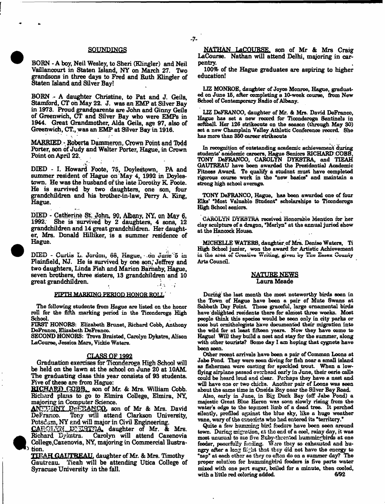#### SOUNDINGS

BORN - A boy, Neil Wesley, to Sheri (Klingler) and Neil Vaillancourt in Staten Island, NY on March 27. Two grandsons in three days to Fred and Ruth Klingler of Staten Island and Silver Bay!

BORN - A daughter Christine, to Pat and J. Geils, Stamford, CT on May 22. J. was an EMP at Silver Bay in 1978. Proud grandparents are John and Ginny Geils of Greenwich, CT and Silver Bay who were EMPs in 1944. Great Grandmother, Alda Geils, age 97, also of Greenwich, CT., was an EMP at Silver Bay in 1916.

MARRIED.-, Roberta Dammeron, Crown Point and Todd Porter, son of Judy and Walter Porter, Hague, in Crown Point on April 22.

DIED - I. Howard Foote, 75, Doyleatown, PA and summer resident of Hague on May 4, 1992 in Doylestown. He was the husband of the late Dorothy K. Foote. He is survived by two daughters, one son, four grandchildren and his brother-in-law, Perry A King, Hague.

PIED - Catherine St: John, **90, Albany,** NY, **on May** 6, She is survived by 2 daughters, 4 sons, 12 grandchildren and 14 great grandchildren. Her daughter, Mrs. Donald Hilliker, is a summer residence of Hague.

DIED - Curtis L. Jordon, 68, Hague, on June 5 in Plainfield, NJ. He is survived by one son, Jeffrey and two daughters, Linda Fish and Marion Barnaby, Hague, seven brothers, three sisters, 13 grandchildren and 10 great grandchildren. **Each and filter**  $\mathbf{e}$  **a f**  $\mathbf{e}$  **a** *i*.

#### FIFTH MARKING PERIOD HONOR ROLL

The fallowing students from Hague are listed on the honor roll for the fifth marking period in the Ticonderoga High School.

FIRST HONORS: Elizabeth Brunet, Richard Cobb, Anthony DeFranoo, Elizabeth DeFranco.

SECOND HONORS: Treva Braisted, Carolyn Dykstra, Alison LaCourse, Jessica Mara, Vickie Waters.

#### **CLASS OF 1992**

Graduation exercises for Ticonderoga High School will be held on the lawn at the school on June 20 at 10AM. The graduating class this year consists of 93 students. Five of these are from Hague;

RICHARD COBB. son of Mr. & Mrs. William Cobb. Richard plans to go to Elmira College, Elmira, NY, majoring in Computer Science.

son of Mr & Mrs. David DeFranco. Tony will attend Clarkson University, Potsdam, NY end will major in Civil Engineering.

CABOLIN WIST A<sup>\*</sup> daughter of Mr. & Mrs. Richard Dykstra. Carolyn will attend Cazenovia College.Cazenovia, NY, majoring in Commercial Hustration.

TIEAH GAUTREATI daughter of Mr. & Mrs. Timothy Gautreau. Tieah will be attending Utica College of Syracuse University in the fall.

NATHAN LaCOURSE. son of Mr & Mrs Craig LaCourse. Nathan will attend Delhi, mgjoring in carpentry.

100% of the Hague graduates are aspiring to higher education!

LIZ MONROE, daughter of Joyce Monroe, Hogue, graduated on June 16, after completing a 10-week course, from New School of Contemporary Radio of Albany.

LIZ DeFRANCO, daughter of Mr. & Mrs. David DeFranoo, Hague has set a new record for Ticonderoga Sentinels in softball Her 126 strikeouts on the season (through May 30) set a new Champlain Valley Athletic Conference record. She has more than 360 career strikeouts

In recognition of outstanding academic achievement during students' academic careers, Hague Seniors RICHARD COBB, TONY DeFRANCO, CAROLYN DYKSTRA, and TIEAH GAUTREAU have been awarded the Presidentia) Academic Fitness Award. To qualify a student must have completed rigorous course work in the "new basics" and maintain a strong high school average.

TONY DeFRANCO, Hague, has been awarded one of four Elks' "Most Valuable Student" scholarships to Ticonderoga High School seniors.

CAROLYN DYKSTRA received Honorable Mention for her clay sculpture of a dragon, "Merlyn" at the annual juried show at the Hancock House.

MICHELLE WATERS, daughter of Mis. Denise Waters, Ti High School junior, won the award for Artistic Achievement in the area of Creative Writing, given by The Essex County Arts Council.

#### NATURE NEWS Laura Meade

During the last month the most noteworthy birds seen in the Town of Hague have been a pair of Mute Swans at Sabbath Day Point These graceful, large ornamental birds have delighted residents there for almost three weeks. Most people think this species would be seen only in city parks or zoos but ornithologists have documented their migration into the wild for at least fifteen years. Now they have come to Hague! Will they build a nest and stay for the summer, along with other tourists? Some day I am hoping that cygnets have been seen.

Other recent arrivals have been a pair of Common Loons at Jabe Pond. They were seen diving for fish near a small island as fishermen were casting for speckled trout. When a lowflying airplane passed overhead early in June, their eerie calls could be heard loud and dear. Perhaps they have a nest and will have one or two chicks. Another pair of Loons was seen about the same time in Oneida Bay near the Silver Bay Road.

Also, early in June, in Big Duck Bay (off Jabe Pood) a majestic Great Blue Heron was seen slowly rising from the water's odge to the topmost limb of a dead tree. It perched silently, profiled against the blue sky, like a huge weather vane, wary of the canosists who had entered its "territory."

Quite a few humming bird foedsro have been seen around town. During migration, *ct* the end of a cool, rainy day, it was most unusual to see five Ruby-threated hummingbirds at one feeder, peacefully funding. Ware they so exhausted and hungry after a long flight that they did not have the energy to "zap" at each other as they so often do on a summer day? The proper solution for hummingbird feeders is five parts water mixed with one part sugar, boiled for a minute, then cooled, with a little red coloring added.